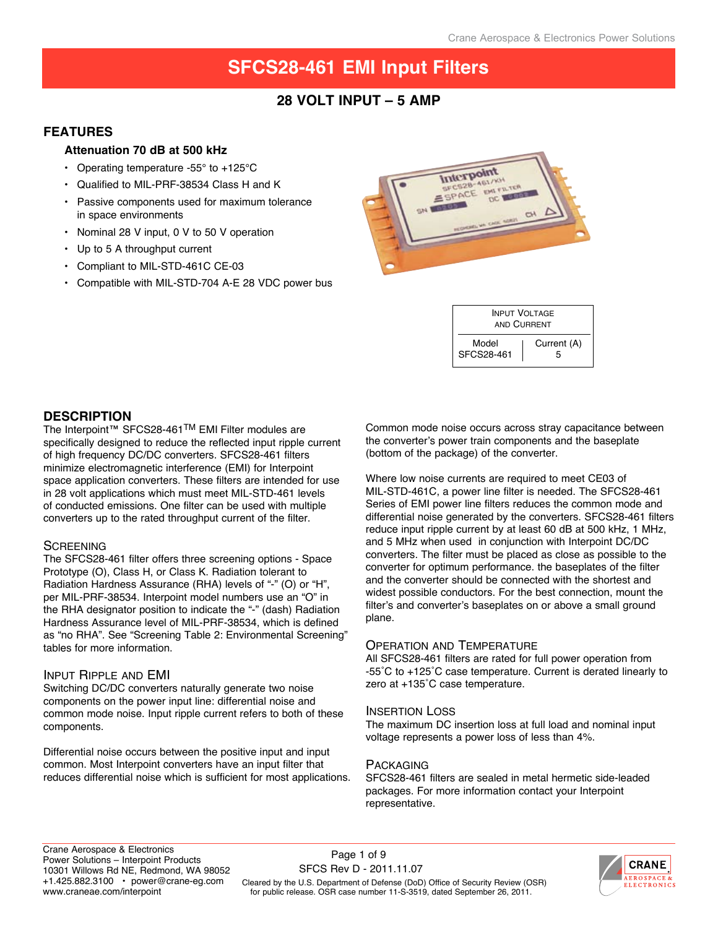### **28 Volt input – 5 AMP**

### **Features**

### **Attenuation 70 dB at 500 kHz**

- Operating temperature -55° to +125°C
- Qualified to MIL-PRF-38534 Class H and K
- Passive components used for maximum tolerance in space environments
- Nominal 28 V input, 0 V to 50 V operation
- Up to 5 A throughput current
- Compliant to MIL-STD-461C CE-03
- Compatible with MIL-STD-704 A-E 28 VDC power bus



| <b>INPUT VOLTAGE</b><br>AND CURRENT |             |  |  |
|-------------------------------------|-------------|--|--|
| Model                               | Current (A) |  |  |
| SFCS28-461                          | h           |  |  |

### **description**

The Interpoint™ SFCS28-461<sup>TM</sup> EMI Filter modules are specifically designed to reduce the reflected input ripple current of high frequency DC/DC converters. SFCS28-461 filters minimize electromagnetic interference (EMI) for Interpoint space application converters. These filters are intended for use in 28 volt applications which must meet MIL-STD-461 levels of conducted emissions. One filter can be used with multiple converters up to the rated throughput current of the filter.

### **SCREENING**

The SFCS28-461 filter offers three screening options - Space Prototype (O), Class H, or Class K. Radiation tolerant to Radiation Hardness Assurance (RHA) levels of "-" (O) or "H", per MIL-PRF-38534. Interpoint model numbers use an "O" in the RHA designator position to indicate the "-" (dash) Radiation Hardness Assurance level of MIL-PRF-38534, which is defined as "no RHA". See "Screening Table 2: Environmental Screening" tables for more information.

### Input Ripple and EMI

Switching DC/DC converters naturally generate two noise components on the power input line: differential noise and common mode noise. Input ripple current refers to both of these components.

Differential noise occurs between the positive input and input common. Most Interpoint converters have an input filter that reduces differential noise which is sufficient for most applications. Common mode noise occurs across stray capacitance between the converter's power train components and the baseplate (bottom of the package) of the converter.

Where low noise currents are required to meet CE03 of MIL-STD-461C, a power line filter is needed. The SFCS28-461 Series of EMI power line filters reduces the common mode and differential noise generated by the converters. SFCS28-461 filters reduce input ripple current by at least 60 dB at 500 kHz, 1 MHz, and 5 MHz when used in conjunction with Interpoint DC/DC converters. The filter must be placed as close as possible to the converter for optimum performance. the baseplates of the filter and the converter should be connected with the shortest and widest possible conductors. For the best connection, mount the filter's and converter's baseplates on or above a small ground plane.

### Operation and Temperature

All SFCS28-461 filters are rated for full power operation from -55˚C to +125˚C case temperature. Current is derated linearly to zero at +135˚C case temperature.

### Insertion Loss

The maximum DC insertion loss at full load and nominal input voltage represents a power loss of less than 4%.

### **PACKAGING**

SFCS28-461 filters are sealed in metal hermetic side-leaded packages. For more information contact your Interpoint representative.

Cleared by the U.S. Department of Defense (DoD) Office of Security Review (OSR) for public release. OSR case number 11-S-3519, dated September 26, 2011. Page 1 of 9 SFCS Rev D - 2011.11.07

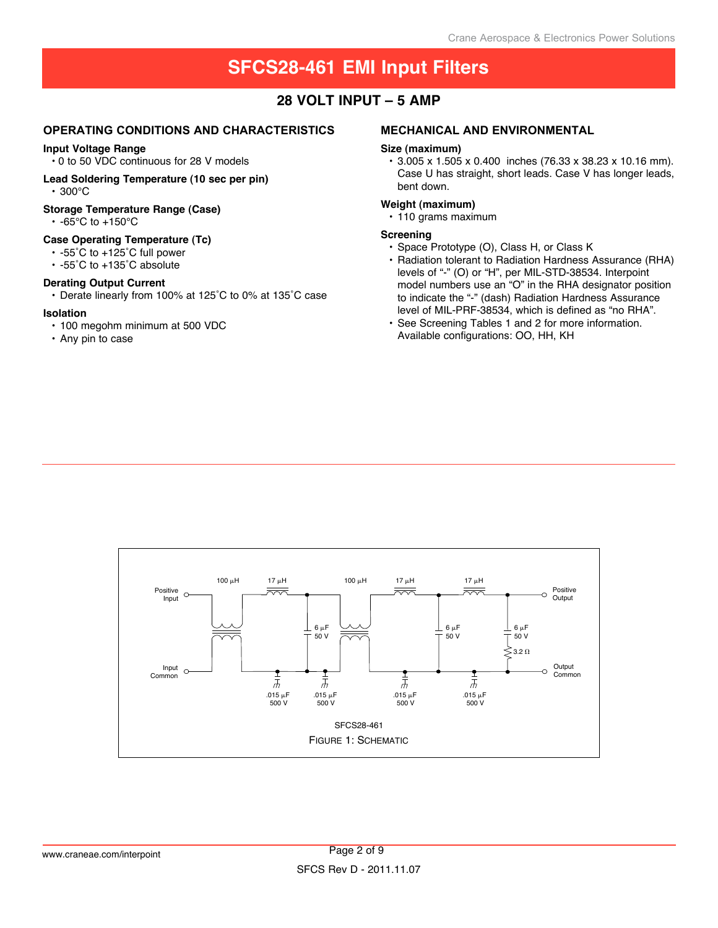### **28 Volt input – 5 AMP**

### **Operating Conditions and characteristics**

#### **Input Voltage Range**

• 0 to 50 VDC continuous for 28 V models

**Lead Soldering Temperature (10 sec per pin)** • 300°C

#### **Storage Temperature Range (Case)**

• -65°C to +150°C

### **Case Operating Temperature (Tc)**

- -55˚C to +125˚C full power
- -55˚C to +135˚C absolute

### **Derating Output Current**

• Derate linearly from 100% at 125˚C to 0% at 135˚C case

#### **Isolation**

- 100 megohm minimum at 500 VDC
- Any pin to case

### **mechanical and environmental**

#### **Size (maximum)**

• 3.005 x 1.505 x 0.400 inches (76.33 x 38.23 x 10.16 mm). Case U has straight, short leads. Case V has longer leads, bent down.

### **Weight (maximum)**

• 110 grams maximum

### **Screening**

- Space Prototype (O), Class H, or Class K
- Radiation tolerant to Radiation Hardness Assurance (RHA) levels of "-" (O) or "H", per MIL-STD-38534. Interpoint model numbers use an "O" in the RHA designator position to indicate the "-" (dash) Radiation Hardness Assurance level of MIL-PRF-38534, which is defined as "no RHA".
- See Screening Tables 1 and 2 for more information. Available configurations: OO, HH, KH

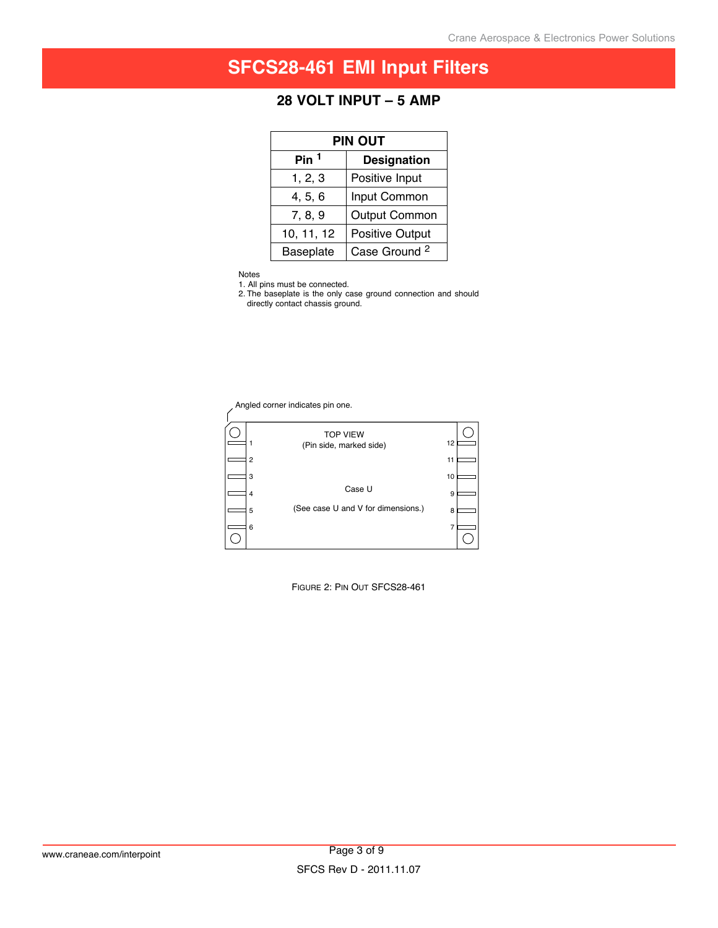## **28 Volt input – 5 AMP**

| <b>PIN OUT</b> |                          |  |  |
|----------------|--------------------------|--|--|
| Pin $1$        | <b>Designation</b>       |  |  |
| 1, 2, 3        | Positive Input           |  |  |
| 4, 5, 6        | Input Common             |  |  |
| 7, 8, 9        | <b>Output Common</b>     |  |  |
| 10, 11, 12     | <b>Positive Output</b>   |  |  |
| Baseplate      | Case Ground <sup>2</sup> |  |  |

Notes

1. All pins must be connected.

2. The baseplate is the only case ground connection and should directly contact chassis ground.

Angled corner indicates pin one.



Figure 2: Pin Out SFCS28-461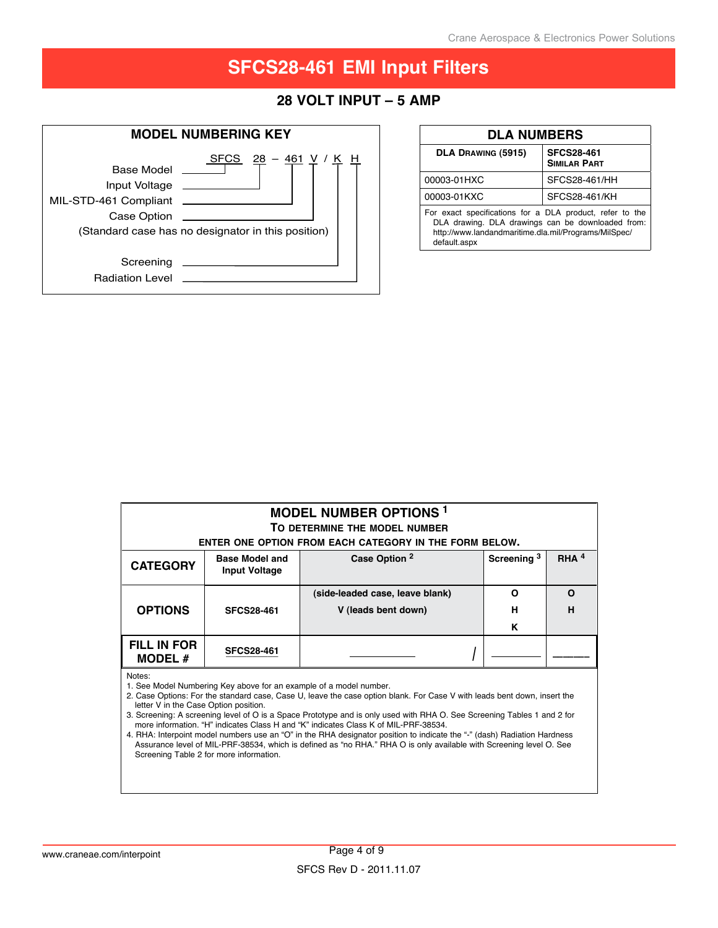### **28 Volt input – 5 AMP**



| <b>DLA NUMBERS</b>                                                                                                                                                                    |                                   |  |  |
|---------------------------------------------------------------------------------------------------------------------------------------------------------------------------------------|-----------------------------------|--|--|
| DLA DRAWING (5915)                                                                                                                                                                    | <b>SFCS28-461</b><br>SIMILAR PART |  |  |
| 00003-01HXC                                                                                                                                                                           | SFCS28-461/HH                     |  |  |
| 00003-01KXC                                                                                                                                                                           | SFCS28-461/KH                     |  |  |
| For exact specifications for a DLA product, refer to the<br>DLA drawing. DLA drawings can be downloaded from:<br>http://www.landandmaritime.dla.mil/Programs/MilSpec/<br>default.aspx |                                   |  |  |

| <b>MODEL NUMBER OPTIONS<sup>1</sup></b><br>TO DETERMINE THE MODEL NUMBER<br>ENTER ONE OPTION FROM EACH CATEGORY IN THE FORM BELOW. |                                               |                                                        |                        |         |
|------------------------------------------------------------------------------------------------------------------------------------|-----------------------------------------------|--------------------------------------------------------|------------------------|---------|
| <b>CATEGORY</b>                                                                                                                    | <b>Base Model and</b><br><b>Input Voltage</b> | Case Option 2                                          | Screening <sup>3</sup> | RHA $4$ |
| <b>OPTIONS</b>                                                                                                                     | <b>SFCS28-461</b>                             | (side-leaded case, leave blank)<br>V (leads bent down) | O<br>н                 | O<br>н  |
|                                                                                                                                    |                                               |                                                        | K                      |         |
| <b>FILL IN FOR</b><br><b>MODEL #</b>                                                                                               | <b>SFCS28-461</b>                             |                                                        |                        |         |

Notes:

1. See Model Numbering Key above for an example of a model number.

2. Case Options: For the standard case, Case U, leave the case option blank. For Case V with leads bent down, insert the letter V in the Case Option position.

3. Screening: A screening level of O is a Space Prototype and is only used with RHA O. See Screening Tables 1 and 2 for more information. "H" indicates Class H and "K" indicates Class K of MIL-PRF-38534.

4. RHA: Interpoint model numbers use an "O" in the RHA designator position to indicate the "-" (dash) Radiation Hardness Assurance level of MIL-PRF-38534, which is defined as "no RHA." RHA O is only available with Screening level O. See Screening Table 2 for more information.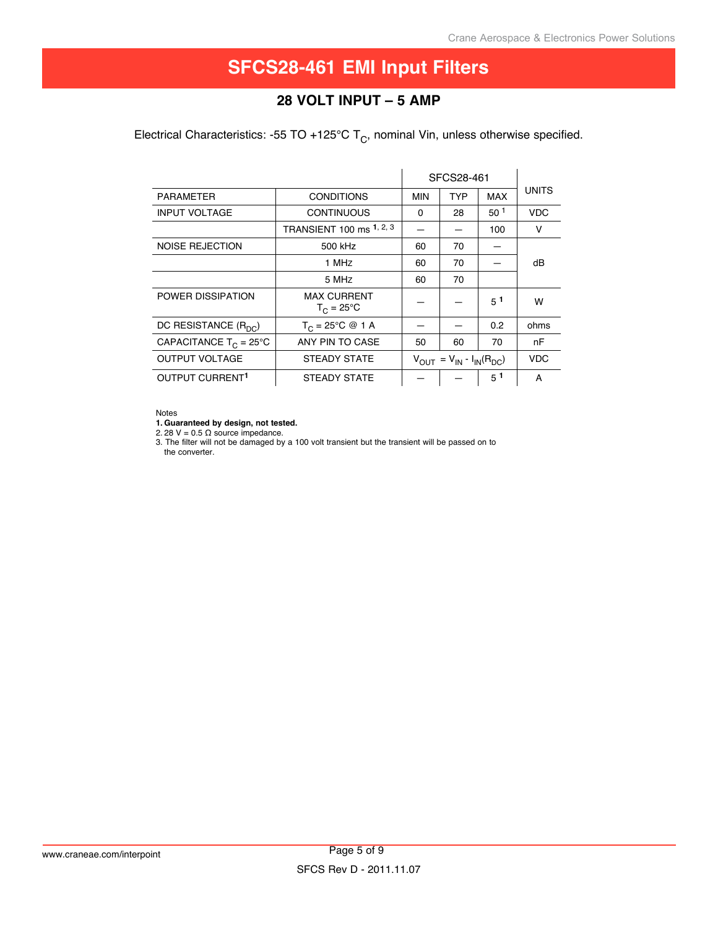## **28 Volt input – 5 AMP**

Electrical Characteristics: -55 TO +125°C  $T_c$ , nominal Vin, unless otherwise specified.

|                                  |                                           | SFCS28-461                          |            |                 |              |
|----------------------------------|-------------------------------------------|-------------------------------------|------------|-----------------|--------------|
| <b>PARAMETER</b>                 | <b>CONDITIONS</b>                         | <b>MIN</b>                          | <b>TYP</b> | <b>MAX</b>      | <b>UNITS</b> |
| <b>INPUT VOLTAGE</b>             | <b>CONTINUOUS</b>                         | 0                                   | 28         | 50 <sup>1</sup> | <b>VDC</b>   |
|                                  | TRANSIENT 100 ms 1, 2, 3                  |                                     |            | 100             | v            |
| <b>NOISE REJECTION</b>           | 500 kHz                                   | 60                                  | 70         |                 |              |
|                                  | 1 MHz                                     | 60                                  | 70         |                 | dB           |
|                                  | 5 MHz                                     | 60                                  | 70         |                 |              |
| POWER DISSIPATION                | <b>MAX CURRENT</b><br>$T_C = 25^{\circ}C$ |                                     |            | $5^1$           | w            |
| DC RESISTANCE (R <sub>DC</sub> ) | $T_C = 25^{\circ}C \otimes 1 A$           |                                     |            | 0.2             | ohms         |
| CAPACITANCE $T_C = 25^{\circ}C$  | ANY PIN TO CASE                           | 50                                  | 60         | 70              | nF           |
| <b>OUTPUT VOLTAGE</b>            | STEADY STATE                              | $V_{OUT} = V_{IN} - I_{IN}(R_{DC})$ |            | <b>VDC</b>      |              |
| OUTPUT CURRENT <sup>1</sup>      | STEADY STATE                              |                                     |            | $5^1$           | A            |

#### Notes

**1. Guaranteed by design, not tested.**

2. 28 V =  $0.5 \Omega$  source impedance.

3. The filter will not be damaged by a 100 volt transient but the transient will be passed on to the converter.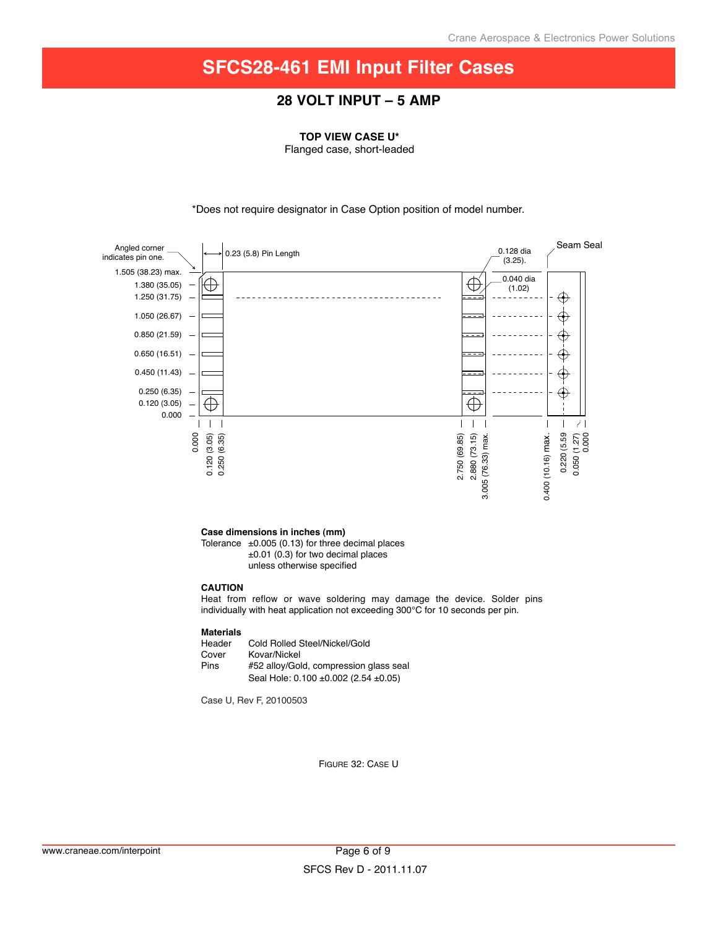### **28 Volt input – 5 AMP**

**TOP VIEW CASE U\***

Flanged case, short-leaded

\*Does not require designator in Case Option position of model number.



Figure 32: Case U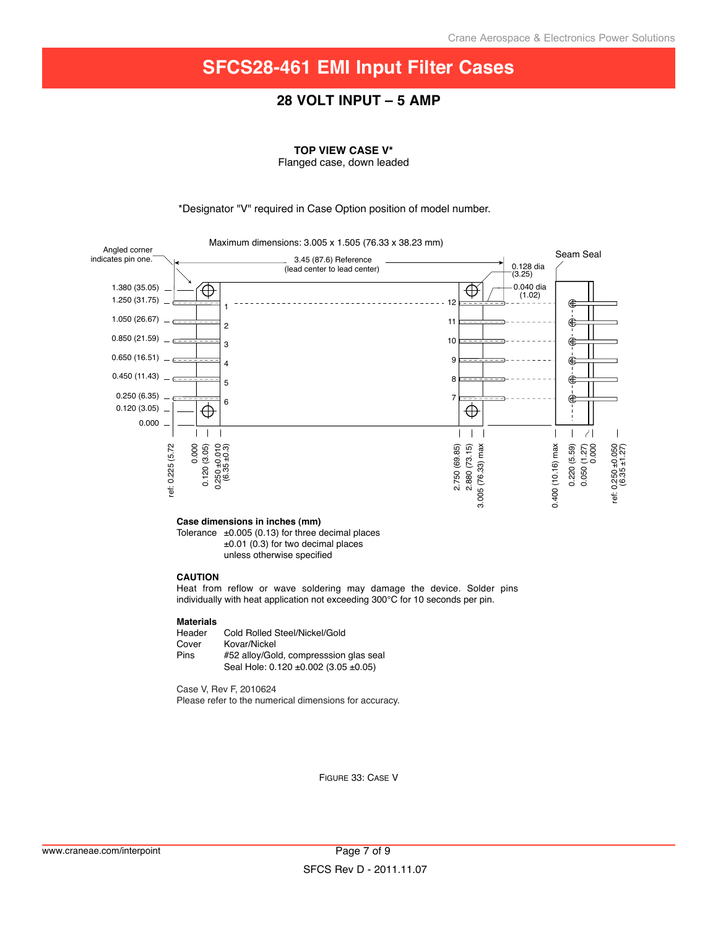### **28 Volt input – 5 AMP**

**TOP VIEW CASE V\***

Flanged case, down leaded

\*Designator "V" required in Case Option position of model number.



#### **Case dimensions in inches (mm)**

Tolerance  $\pm 0.005$  (0.13) for three decimal places ±0.01 (0.3) for two decimal places unless otherwise specified

#### **CAUTION**

Heat from reflow or wave soldering may damage the device. Solder pins individually with heat application not exceeding 300°C for 10 seconds per pin.

#### **Materials**

| Cold Rolled Steel/Nickel/Gold                                                  |
|--------------------------------------------------------------------------------|
| Kovar/Nickel                                                                   |
| #52 alloy/Gold, compresssion glas seal<br>Seal Hole: 0.120 ±0.002 (3.05 ±0.05) |
|                                                                                |

Case V, Rev F, 2010624 Please refer to the numerical dimensions for accuracy.

Figure 33: Case V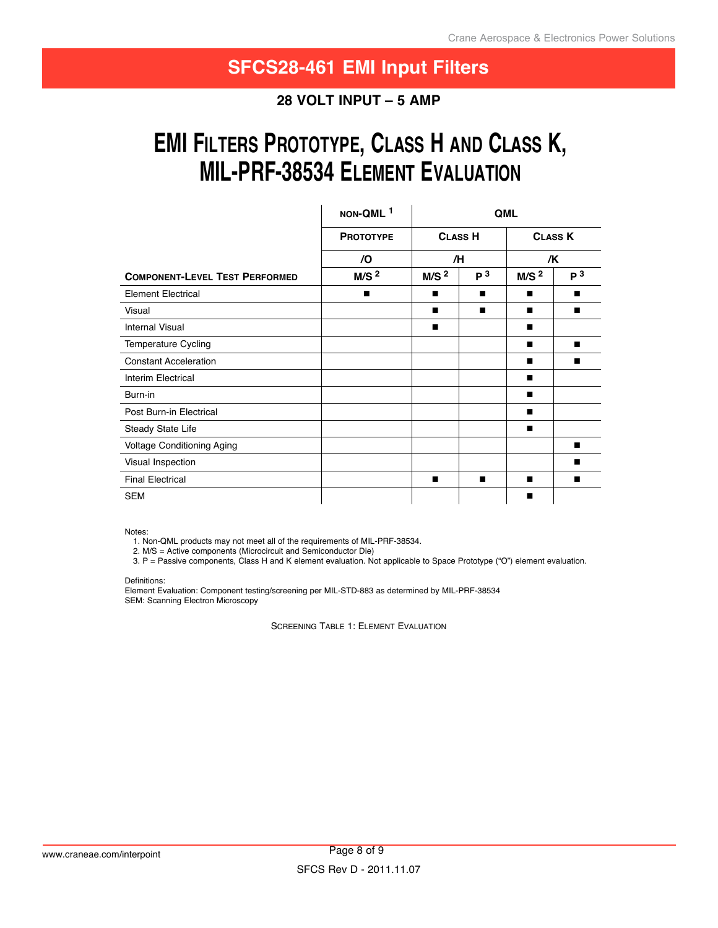**28 Volt input – 5 AMP**

# **EMI FILTERS PROTOTYPE, CLASS H AND CLASS K, miL-PrF-38534 eLement eVALuAtion**

|                                       | NON-QML <sup>1</sup> | QML              |                |                  |                |
|---------------------------------------|----------------------|------------------|----------------|------------------|----------------|
|                                       | <b>PROTOTYPE</b>     | <b>CLASS H</b>   |                |                  | <b>CLASS K</b> |
|                                       | /O                   | /H               |                | /K               |                |
| <b>COMPONENT-LEVEL TEST PERFORMED</b> | M/S <sup>2</sup>     | M/S <sup>2</sup> | P <sup>3</sup> | M/S <sup>2</sup> | P <sup>3</sup> |
| <b>Element Electrical</b>             | п                    | п                | п              | п                | ш              |
| Visual                                |                      | п                | п              | п                | п              |
| <b>Internal Visual</b>                |                      | п                |                | п                |                |
| Temperature Cycling                   |                      |                  |                | п                | п              |
| <b>Constant Acceleration</b>          |                      |                  |                | ■                | ■              |
| Interim Electrical                    |                      |                  |                | п                |                |
| Burn-in                               |                      |                  |                | п                |                |
| Post Burn-in Electrical               |                      |                  |                | п                |                |
| Steady State Life                     |                      |                  |                | п                |                |
| Voltage Conditioning Aging            |                      |                  |                |                  | $\blacksquare$ |
| Visual Inspection                     |                      |                  |                |                  | п              |
| <b>Final Electrical</b>               |                      | п                | п              | п                | ш              |
| <b>SEM</b>                            |                      |                  |                | п                |                |

Notes:

1. Non-QML products may not meet all of the requirements of MIL-PRF-38534.

2. M/S = Active components (Microcircuit and Semiconductor Die)

3. P = Passive components, Class H and K element evaluation. Not applicable to Space Prototype ("O") element evaluation.

Definitions:

Element Evaluation: Component testing/screening per MIL-STD-883 as determined by MIL-PRF-38534 SEM: Scanning Electron Microscopy

Screening Table 1: Element Evaluation